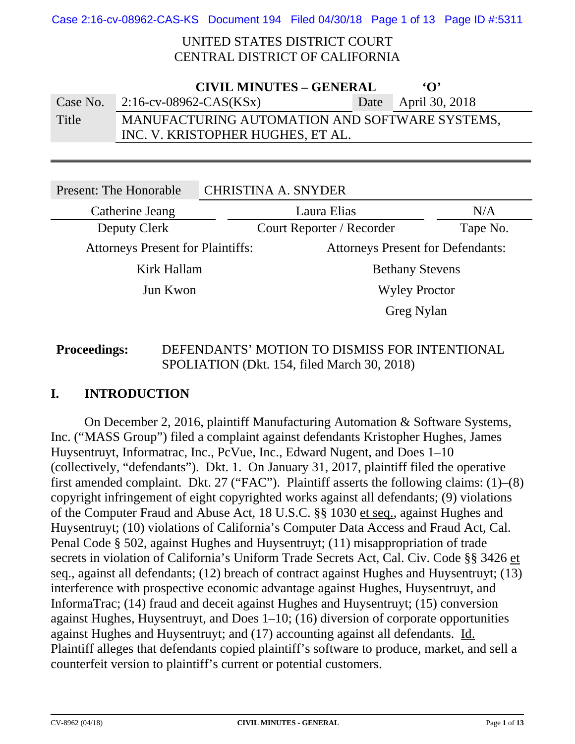## UNITED STATES DISTRICT COURT CENTRAL DISTRICT OF CALIFORNIA

| <b>CIVIL MINUTES - GENERAL</b><br>$\Omega$ |                                                |  |                     |  |
|--------------------------------------------|------------------------------------------------|--|---------------------|--|
| Case No.                                   | 2:16-cv-08962-CAS(KSx)                         |  | Date April 30, 2018 |  |
| Title                                      | MANUFACTURING AUTOMATION AND SOFTWARE SYSTEMS, |  |                     |  |
|                                            | INC. V. KRISTOPHER HUGHES, ET AL.              |  |                     |  |

| <b>Present: The Honorable</b>            |  | <b>CHRISTINA A. SNYDER</b>               |          |
|------------------------------------------|--|------------------------------------------|----------|
| Catherine Jeang                          |  | Laura Elias                              | N/A      |
| Deputy Clerk                             |  | Court Reporter / Recorder                | Tape No. |
| <b>Attorneys Present for Plaintiffs:</b> |  | <b>Attorneys Present for Defendants:</b> |          |
| Kirk Hallam                              |  | <b>Bethany Stevens</b>                   |          |
| Jun Kwon                                 |  | <b>Wyley Proctor</b>                     |          |
|                                          |  | Greg Nylan                               |          |

# **Proceedings:** DEFENDANTS' MOTION TO DISMISS FOR INTENTIONAL SPOLIATION (Dkt. 154, filed March 30, 2018)

# **I. INTRODUCTION**

 On December 2, 2016, plaintiff Manufacturing Automation & Software Systems, Inc. ("MASS Group") filed a complaint against defendants Kristopher Hughes, James Huysentruyt, Informatrac, Inc., PcVue, Inc., Edward Nugent, and Does 1–10 (collectively, "defendants"). Dkt. 1. On January 31, 2017, plaintiff filed the operative first amended complaint. Dkt. 27 ("FAC"). Plaintiff asserts the following claims: (1)–(8) copyright infringement of eight copyrighted works against all defendants; (9) violations of the Computer Fraud and Abuse Act, 18 U.S.C. §§ 1030 et seq., against Hughes and Huysentruyt; (10) violations of California's Computer Data Access and Fraud Act, Cal. Penal Code § 502, against Hughes and Huysentruyt; (11) misappropriation of trade secrets in violation of California's Uniform Trade Secrets Act, Cal. Civ. Code §§ 3426 et seq., against all defendants; (12) breach of contract against Hughes and Huysentruyt; (13) interference with prospective economic advantage against Hughes, Huysentruyt, and InformaTrac; (14) fraud and deceit against Hughes and Huysentruyt; (15) conversion against Hughes, Huysentruyt, and Does 1–10; (16) diversion of corporate opportunities against Hughes and Huysentruyt; and (17) accounting against all defendants. Id. Plaintiff alleges that defendants copied plaintiff's software to produce, market, and sell a counterfeit version to plaintiff's current or potential customers.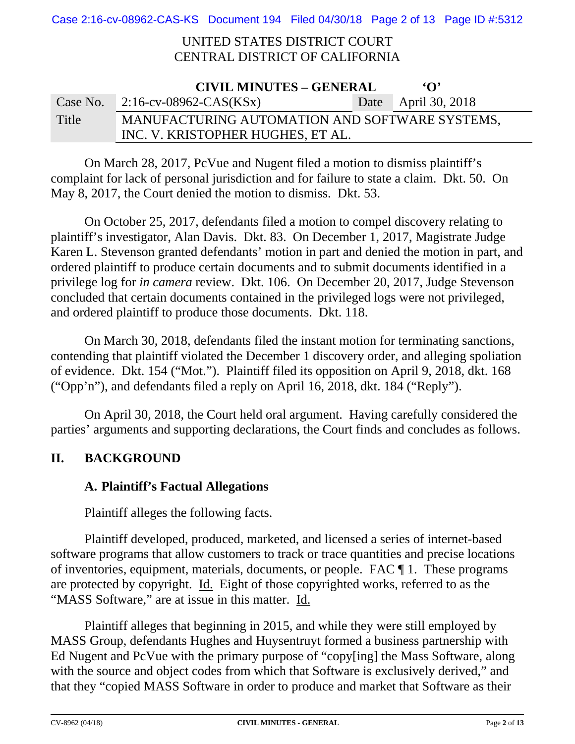Case 2:16-cv-08962-CAS-KS Document 194 Filed 04/30/18 Page 2 of 13 Page ID #:5312

## UNITED STATES DISTRICT COURT CENTRAL DISTRICT OF CALIFORNIA

| <b>CIVIL MINUTES – GENERAL</b><br>$\Omega$ |                                                |  |                     |  |  |
|--------------------------------------------|------------------------------------------------|--|---------------------|--|--|
|                                            | Case No. $2:16$ -cv-08962-CAS(KSx)             |  | Date April 30, 2018 |  |  |
| Title                                      | MANUFACTURING AUTOMATION AND SOFTWARE SYSTEMS, |  |                     |  |  |
|                                            | INC. V. KRISTOPHER HUGHES, ET AL.              |  |                     |  |  |

 On March 28, 2017, PcVue and Nugent filed a motion to dismiss plaintiff's complaint for lack of personal jurisdiction and for failure to state a claim. Dkt. 50. On May 8, 2017, the Court denied the motion to dismiss. Dkt. 53.

 On October 25, 2017, defendants filed a motion to compel discovery relating to plaintiff's investigator, Alan Davis. Dkt. 83. On December 1, 2017, Magistrate Judge Karen L. Stevenson granted defendants' motion in part and denied the motion in part, and ordered plaintiff to produce certain documents and to submit documents identified in a privilege log for *in camera* review. Dkt. 106. On December 20, 2017, Judge Stevenson concluded that certain documents contained in the privileged logs were not privileged, and ordered plaintiff to produce those documents. Dkt. 118.

 On March 30, 2018, defendants filed the instant motion for terminating sanctions, contending that plaintiff violated the December 1 discovery order, and alleging spoliation of evidence. Dkt. 154 ("Mot."). Plaintiff filed its opposition on April 9, 2018, dkt. 168 ("Opp'n"), and defendants filed a reply on April 16, 2018, dkt. 184 ("Reply").

 On April 30, 2018, the Court held oral argument. Having carefully considered the parties' arguments and supporting declarations, the Court finds and concludes as follows.

# **II. BACKGROUND**

## **A. Plaintiff's Factual Allegations**

Plaintiff alleges the following facts.

Plaintiff developed, produced, marketed, and licensed a series of internet-based software programs that allow customers to track or trace quantities and precise locations of inventories, equipment, materials, documents, or people. FAC ¶ 1. These programs are protected by copyright. Id. Eight of those copyrighted works, referred to as the "MASS Software," are at issue in this matter. Id.

Plaintiff alleges that beginning in 2015, and while they were still employed by MASS Group, defendants Hughes and Huysentruyt formed a business partnership with Ed Nugent and PcVue with the primary purpose of "copy[ing] the Mass Software, along with the source and object codes from which that Software is exclusively derived," and that they "copied MASS Software in order to produce and market that Software as their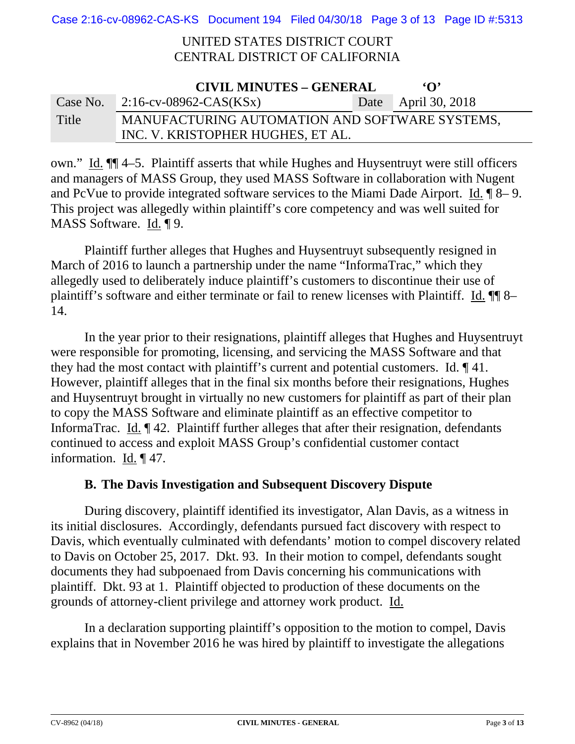Case 2:16-cv-08962-CAS-KS Document 194 Filed 04/30/18 Page 3 of 13 Page ID #:5313

### UNITED STATES DISTRICT COURT CENTRAL DISTRICT OF CALIFORNIA

| <b>CIVIL MINUTES – GENERAL</b><br>$\Omega$ |                                                |  |                     |  |
|--------------------------------------------|------------------------------------------------|--|---------------------|--|
|                                            | Case No. $2:16$ -cv-08962-CAS(KSx)             |  | Date April 30, 2018 |  |
| Title                                      | MANUFACTURING AUTOMATION AND SOFTWARE SYSTEMS, |  |                     |  |
|                                            | INC. V. KRISTOPHER HUGHES, ET AL.              |  |                     |  |

own." Id. ¶¶ 4–5. Plaintiff asserts that while Hughes and Huysentruyt were still officers and managers of MASS Group, they used MASS Software in collaboration with Nugent and PcVue to provide integrated software services to the Miami Dade Airport. Id. ¶ 8– 9. This project was allegedly within plaintiff's core competency and was well suited for MASS Software. Id. ¶ 9.

Plaintiff further alleges that Hughes and Huysentruyt subsequently resigned in March of 2016 to launch a partnership under the name "InformaTrac," which they allegedly used to deliberately induce plaintiff's customers to discontinue their use of plaintiff's software and either terminate or fail to renew licenses with Plaintiff. Id.  $\P\P$  8– 14.

In the year prior to their resignations, plaintiff alleges that Hughes and Huysentruyt were responsible for promoting, licensing, and servicing the MASS Software and that they had the most contact with plaintiff's current and potential customers. Id. ¶ 41. However, plaintiff alleges that in the final six months before their resignations, Hughes and Huysentruyt brought in virtually no new customers for plaintiff as part of their plan to copy the MASS Software and eliminate plaintiff as an effective competitor to InformaTrac. Id. ¶ 42. Plaintiff further alleges that after their resignation, defendants continued to access and exploit MASS Group's confidential customer contact information. Id. ¶ 47.

## **B. The Davis Investigation and Subsequent Discovery Dispute**

During discovery, plaintiff identified its investigator, Alan Davis, as a witness in its initial disclosures. Accordingly, defendants pursued fact discovery with respect to Davis, which eventually culminated with defendants' motion to compel discovery related to Davis on October 25, 2017. Dkt. 93. In their motion to compel, defendants sought documents they had subpoenaed from Davis concerning his communications with plaintiff. Dkt. 93 at 1. Plaintiff objected to production of these documents on the grounds of attorney-client privilege and attorney work product. Id.

In a declaration supporting plaintiff's opposition to the motion to compel, Davis explains that in November 2016 he was hired by plaintiff to investigate the allegations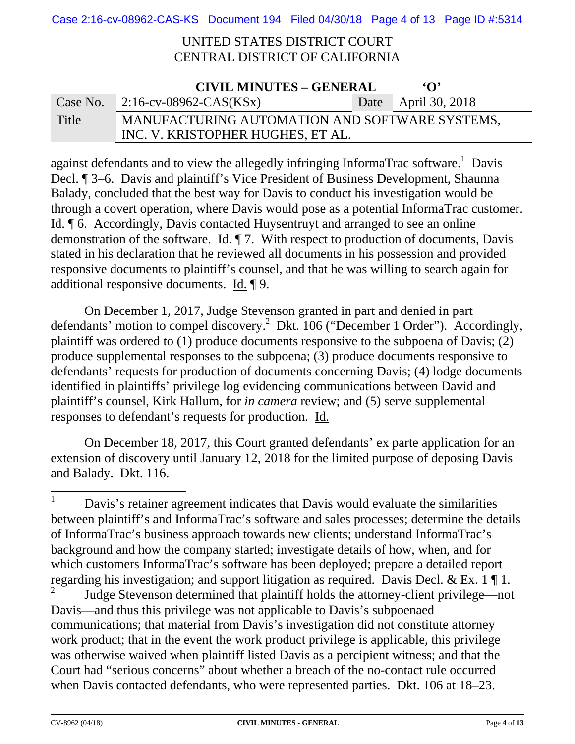## UNITED STATES DISTRICT COURT CENTRAL DISTRICT OF CALIFORNIA

| <b>CIVIL MINUTES – GENERAL</b><br>$\Omega$ |                                                |  |                     |  |
|--------------------------------------------|------------------------------------------------|--|---------------------|--|
|                                            | Case No. $2:16$ -cv-08962-CAS(KSx)             |  | Date April 30, 2018 |  |
| Title                                      | MANUFACTURING AUTOMATION AND SOFTWARE SYSTEMS, |  |                     |  |
|                                            | INC. V. KRISTOPHER HUGHES, ET AL.              |  |                     |  |

against defendants and to view the allegedly infringing InformaTrac software.<sup>1</sup> Davis Decl. ¶ 3–6. Davis and plaintiff's Vice President of Business Development, Shaunna Balady, concluded that the best way for Davis to conduct his investigation would be through a covert operation, where Davis would pose as a potential InformaTrac customer. Id. ¶ 6. Accordingly, Davis contacted Huysentruyt and arranged to see an online demonstration of the software. Id. ¶ 7. With respect to production of documents, Davis stated in his declaration that he reviewed all documents in his possession and provided responsive documents to plaintiff's counsel, and that he was willing to search again for additional responsive documents. Id. ¶ 9.

On December 1, 2017, Judge Stevenson granted in part and denied in part defendants' motion to compel discovery.<sup>2</sup> Dkt. 106 ("December 1 Order"). Accordingly, plaintiff was ordered to (1) produce documents responsive to the subpoena of Davis; (2) produce supplemental responses to the subpoena; (3) produce documents responsive to defendants' requests for production of documents concerning Davis; (4) lodge documents identified in plaintiffs' privilege log evidencing communications between David and plaintiff's counsel, Kirk Hallum, for *in camera* review; and (5) serve supplemental responses to defendant's requests for production. Id.

 On December 18, 2017, this Court granted defendants' ex parte application for an extension of discovery until January 12, 2018 for the limited purpose of deposing Davis and Balady. Dkt. 116.

2 Judge Stevenson determined that plaintiff holds the attorney-client privilege—not Davis—and thus this privilege was not applicable to Davis's subpoenaed communications; that material from Davis's investigation did not constitute attorney work product; that in the event the work product privilege is applicable, this privilege was otherwise waived when plaintiff listed Davis as a percipient witness; and that the Court had "serious concerns" about whether a breach of the no-contact rule occurred when Davis contacted defendants, who were represented parties. Dkt. 106 at 18–23.

<sup>1</sup> Davis's retainer agreement indicates that Davis would evaluate the similarities between plaintiff's and InformaTrac's software and sales processes; determine the details of InformaTrac's business approach towards new clients; understand InformaTrac's background and how the company started; investigate details of how, when, and for which customers InformaTrac's software has been deployed; prepare a detailed report regarding his investigation; and support litigation as required. Davis Decl. & Ex. 1 ¶ 1.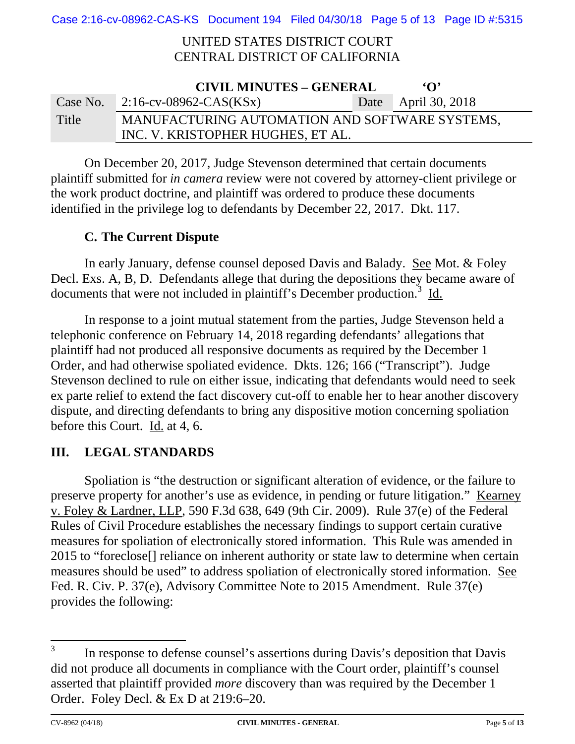Case 2:16-cv-08962-CAS-KS Document 194 Filed 04/30/18 Page 5 of 13 Page ID #:5315

## UNITED STATES DISTRICT COURT CENTRAL DISTRICT OF CALIFORNIA

| <b>CIVIL MINUTES – GENERAL</b><br>$\Omega$ |                                                |  |                     |  |
|--------------------------------------------|------------------------------------------------|--|---------------------|--|
|                                            | Case No. $2:16$ -cv-08962-CAS(KSx)             |  | Date April 30, 2018 |  |
| Title                                      | MANUFACTURING AUTOMATION AND SOFTWARE SYSTEMS, |  |                     |  |
|                                            | INC. V. KRISTOPHER HUGHES, ET AL.              |  |                     |  |

 On December 20, 2017, Judge Stevenson determined that certain documents plaintiff submitted for *in camera* review were not covered by attorney-client privilege or the work product doctrine, and plaintiff was ordered to produce these documents identified in the privilege log to defendants by December 22, 2017. Dkt. 117.

## **C. The Current Dispute**

In early January, defense counsel deposed Davis and Balady. See Mot. & Foley Decl. Exs. A, B, D. Defendants allege that during the depositions they became aware of documents that were not included in plaintiff's December production.<sup>3</sup> Id.

In response to a joint mutual statement from the parties, Judge Stevenson held a telephonic conference on February 14, 2018 regarding defendants' allegations that plaintiff had not produced all responsive documents as required by the December 1 Order, and had otherwise spoliated evidence. Dkts. 126; 166 ("Transcript"). Judge Stevenson declined to rule on either issue, indicating that defendants would need to seek ex parte relief to extend the fact discovery cut-off to enable her to hear another discovery dispute, and directing defendants to bring any dispositive motion concerning spoliation before this Court. Id. at 4, 6.

# **III. LEGAL STANDARDS**

Spoliation is "the destruction or significant alteration of evidence, or the failure to preserve property for another's use as evidence, in pending or future litigation." Kearney v. Foley & Lardner, LLP, 590 F.3d 638, 649 (9th Cir. 2009). Rule 37(e) of the Federal Rules of Civil Procedure establishes the necessary findings to support certain curative measures for spoliation of electronically stored information. This Rule was amended in 2015 to "foreclose[] reliance on inherent authority or state law to determine when certain measures should be used" to address spoliation of electronically stored information. See Fed. R. Civ. P. 37(e), Advisory Committee Note to 2015 Amendment. Rule 37(e) provides the following:

<sup>3</sup> In response to defense counsel's assertions during Davis's deposition that Davis did not produce all documents in compliance with the Court order, plaintiff's counsel asserted that plaintiff provided *more* discovery than was required by the December 1 Order. Foley Decl. & Ex D at 219:6–20.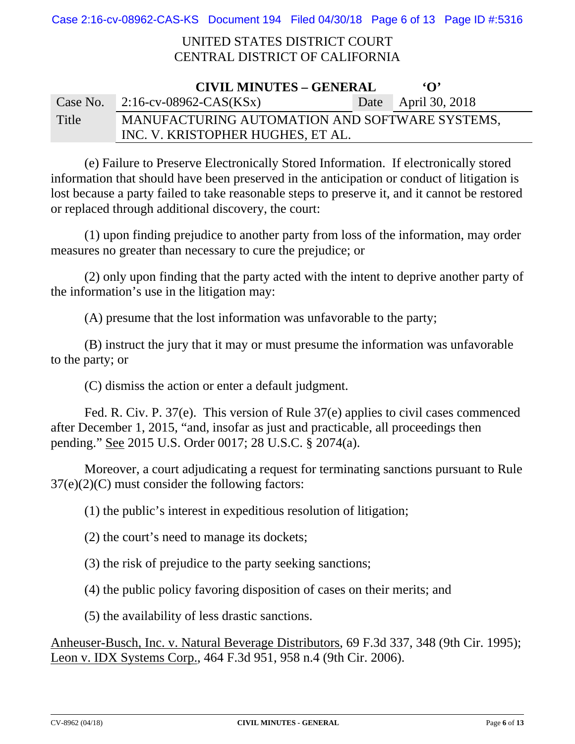Case 2:16-cv-08962-CAS-KS Document 194 Filed 04/30/18 Page 6 of 13 Page ID #:5316

## UNITED STATES DISTRICT COURT CENTRAL DISTRICT OF CALIFORNIA

| <b>CIVIL MINUTES - GENERAL</b><br>$\Omega$ |                                                |  |                     |  |  |
|--------------------------------------------|------------------------------------------------|--|---------------------|--|--|
|                                            | Case No. $2:16$ -cv-08962-CAS(KSx)             |  | Date April 30, 2018 |  |  |
| Title                                      | MANUFACTURING AUTOMATION AND SOFTWARE SYSTEMS, |  |                     |  |  |
|                                            | INC. V. KRISTOPHER HUGHES, ET AL.              |  |                     |  |  |

(e) Failure to Preserve Electronically Stored Information. If electronically stored information that should have been preserved in the anticipation or conduct of litigation is lost because a party failed to take reasonable steps to preserve it, and it cannot be restored or replaced through additional discovery, the court:

(1) upon finding prejudice to another party from loss of the information, may order measures no greater than necessary to cure the prejudice; or

(2) only upon finding that the party acted with the intent to deprive another party of the information's use in the litigation may:

(A) presume that the lost information was unfavorable to the party;

(B) instruct the jury that it may or must presume the information was unfavorable to the party; or

(C) dismiss the action or enter a default judgment.

Fed. R. Civ. P. 37(e). This version of Rule 37(e) applies to civil cases commenced after December 1, 2015, "and, insofar as just and practicable, all proceedings then pending." See 2015 U.S. Order 0017; 28 U.S.C. § 2074(a).

Moreover, a court adjudicating a request for terminating sanctions pursuant to Rule  $37(e)(2)(C)$  must consider the following factors:

(1) the public's interest in expeditious resolution of litigation;

(2) the court's need to manage its dockets;

(3) the risk of prejudice to the party seeking sanctions;

(4) the public policy favoring disposition of cases on their merits; and

(5) the availability of less drastic sanctions.

Anheuser-Busch, Inc. v. Natural Beverage Distributors, 69 F.3d 337, 348 (9th Cir. 1995); Leon v. IDX Systems Corp., 464 F.3d 951, 958 n.4 (9th Cir. 2006).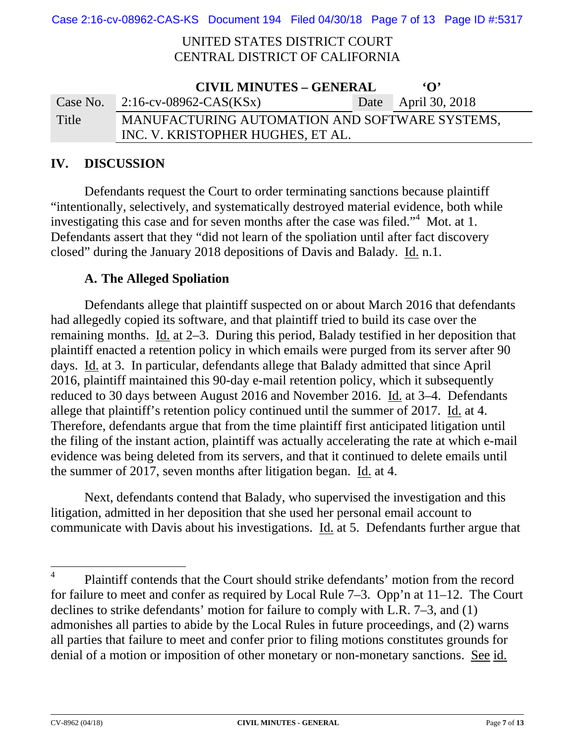Case 2:16-cv-08962-CAS-KS Document 194 Filed 04/30/18 Page 7 of 13 Page ID #:5317

### UNITED STATES DISTRICT COURT CENTRAL DISTRICT OF CALIFORNIA

| <b>CIVIL MINUTES - GENERAL</b><br>$\Omega$ |                                                |  |                     |  |  |
|--------------------------------------------|------------------------------------------------|--|---------------------|--|--|
|                                            | Case No. $2:16$ -cv-08962-CAS(KSx)             |  | Date April 30, 2018 |  |  |
| Title                                      | MANUFACTURING AUTOMATION AND SOFTWARE SYSTEMS, |  |                     |  |  |
|                                            | INC. V. KRISTOPHER HUGHES, ET AL.              |  |                     |  |  |

## **IV. DISCUSSION**

Defendants request the Court to order terminating sanctions because plaintiff "intentionally, selectively, and systematically destroyed material evidence, both while investigating this case and for seven months after the case was filed."<sup>4</sup> Mot. at 1. Defendants assert that they "did not learn of the spoliation until after fact discovery closed" during the January 2018 depositions of Davis and Balady. Id. n.1.

## **A. The Alleged Spoliation**

Defendants allege that plaintiff suspected on or about March 2016 that defendants had allegedly copied its software, and that plaintiff tried to build its case over the remaining months. Id. at 2–3. During this period, Balady testified in her deposition that plaintiff enacted a retention policy in which emails were purged from its server after 90 days. Id. at 3. In particular, defendants allege that Balady admitted that since April 2016, plaintiff maintained this 90-day e-mail retention policy, which it subsequently reduced to 30 days between August 2016 and November 2016. Id. at 3–4. Defendants allege that plaintiff's retention policy continued until the summer of 2017. Id. at 4. Therefore, defendants argue that from the time plaintiff first anticipated litigation until the filing of the instant action, plaintiff was actually accelerating the rate at which e-mail evidence was being deleted from its servers, and that it continued to delete emails until the summer of 2017, seven months after litigation began. Id. at 4.

Next, defendants contend that Balady, who supervised the investigation and this litigation, admitted in her deposition that she used her personal email account to communicate with Davis about his investigations. Id. at 5. Defendants further argue that

<sup>4</sup> Plaintiff contends that the Court should strike defendants' motion from the record for failure to meet and confer as required by Local Rule 7–3. Opp'n at 11–12. The Court declines to strike defendants' motion for failure to comply with L.R. 7–3, and (1) admonishes all parties to abide by the Local Rules in future proceedings, and (2) warns all parties that failure to meet and confer prior to filing motions constitutes grounds for denial of a motion or imposition of other monetary or non-monetary sanctions. See id.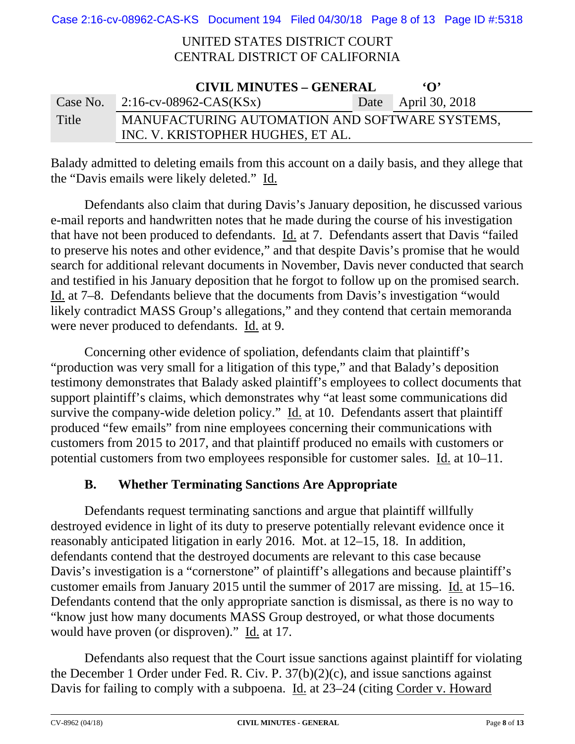Case 2:16-cv-08962-CAS-KS Document 194 Filed 04/30/18 Page 8 of 13 Page ID #:5318

## UNITED STATES DISTRICT COURT CENTRAL DISTRICT OF CALIFORNIA

| <b>CIVIL MINUTES – GENERAL</b><br>$\Omega$ |                                                |  |                     |  |
|--------------------------------------------|------------------------------------------------|--|---------------------|--|
|                                            | Case No. $2:16$ -cv-08962-CAS(KSx)             |  | Date April 30, 2018 |  |
| Title                                      | MANUFACTURING AUTOMATION AND SOFTWARE SYSTEMS, |  |                     |  |
|                                            | INC. V. KRISTOPHER HUGHES, ET AL.              |  |                     |  |

Balady admitted to deleting emails from this account on a daily basis, and they allege that the "Davis emails were likely deleted." Id.

Defendants also claim that during Davis's January deposition, he discussed various e-mail reports and handwritten notes that he made during the course of his investigation that have not been produced to defendants. Id. at 7. Defendants assert that Davis "failed to preserve his notes and other evidence," and that despite Davis's promise that he would search for additional relevant documents in November, Davis never conducted that search and testified in his January deposition that he forgot to follow up on the promised search. Id. at 7–8. Defendants believe that the documents from Davis's investigation "would likely contradict MASS Group's allegations," and they contend that certain memoranda were never produced to defendants. Id. at 9.

Concerning other evidence of spoliation, defendants claim that plaintiff's "production was very small for a litigation of this type," and that Balady's deposition testimony demonstrates that Balady asked plaintiff's employees to collect documents that support plaintiff's claims, which demonstrates why "at least some communications did survive the company-wide deletion policy." Id. at 10. Defendants assert that plaintiff produced "few emails" from nine employees concerning their communications with customers from 2015 to 2017, and that plaintiff produced no emails with customers or potential customers from two employees responsible for customer sales. Id. at 10–11.

# **B. Whether Terminating Sanctions Are Appropriate**

Defendants request terminating sanctions and argue that plaintiff willfully destroyed evidence in light of its duty to preserve potentially relevant evidence once it reasonably anticipated litigation in early 2016. Mot. at 12–15, 18. In addition, defendants contend that the destroyed documents are relevant to this case because Davis's investigation is a "cornerstone" of plaintiff's allegations and because plaintiff's customer emails from January 2015 until the summer of 2017 are missing. Id. at 15–16. Defendants contend that the only appropriate sanction is dismissal, as there is no way to "know just how many documents MASS Group destroyed, or what those documents would have proven (or disproven)." Id. at 17.

Defendants also request that the Court issue sanctions against plaintiff for violating the December 1 Order under Fed. R. Civ. P. 37(b)(2)(c), and issue sanctions against Davis for failing to comply with a subpoena. Id. at 23–24 (citing Corder v. Howard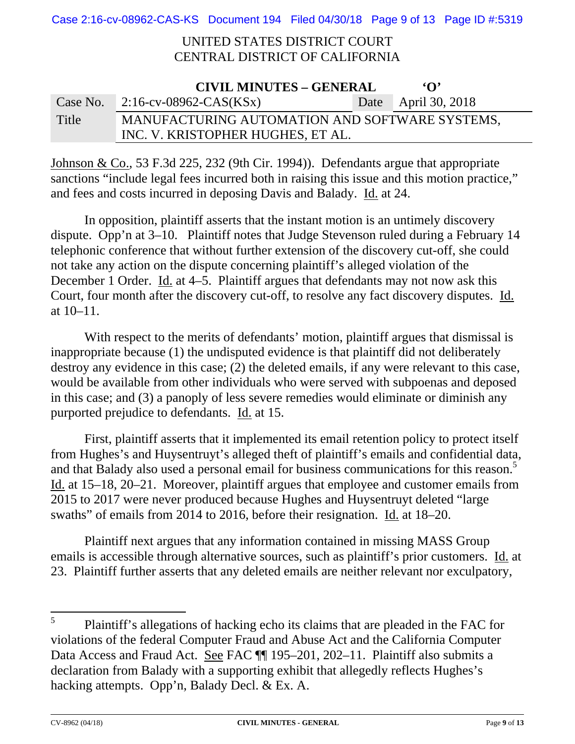## UNITED STATES DISTRICT COURT CENTRAL DISTRICT OF CALIFORNIA

| <b>CIVIL MINUTES – GENERAL</b><br>$\Omega$ |                                                |  |                     |  |
|--------------------------------------------|------------------------------------------------|--|---------------------|--|
|                                            | Case No. $2:16$ -cv-08962-CAS(KSx)             |  | Date April 30, 2018 |  |
| Title                                      | MANUFACTURING AUTOMATION AND SOFTWARE SYSTEMS, |  |                     |  |
|                                            | INC. V. KRISTOPHER HUGHES, ET AL.              |  |                     |  |

Johnson & Co., 53 F.3d 225, 232 (9th Cir. 1994)). Defendants argue that appropriate sanctions "include legal fees incurred both in raising this issue and this motion practice," and fees and costs incurred in deposing Davis and Balady. Id. at 24.

In opposition, plaintiff asserts that the instant motion is an untimely discovery dispute. Opp'n at 3–10. Plaintiff notes that Judge Stevenson ruled during a February 14 telephonic conference that without further extension of the discovery cut-off, she could not take any action on the dispute concerning plaintiff's alleged violation of the December 1 Order. Id. at 4–5. Plaintiff argues that defendants may not now ask this Court, four month after the discovery cut-off, to resolve any fact discovery disputes. Id. at 10–11.

With respect to the merits of defendants' motion, plaintiff argues that dismissal is inappropriate because (1) the undisputed evidence is that plaintiff did not deliberately destroy any evidence in this case; (2) the deleted emails, if any were relevant to this case, would be available from other individuals who were served with subpoenas and deposed in this case; and (3) a panoply of less severe remedies would eliminate or diminish any purported prejudice to defendants. Id. at 15.

First, plaintiff asserts that it implemented its email retention policy to protect itself from Hughes's and Huysentruyt's alleged theft of plaintiff's emails and confidential data, and that Balady also used a personal email for business communications for this reason.<sup>5</sup> Id. at 15–18, 20–21. Moreover, plaintiff argues that employee and customer emails from 2015 to 2017 were never produced because Hughes and Huysentruyt deleted "large swaths" of emails from 2014 to 2016, before their resignation. Id. at 18–20.

Plaintiff next argues that any information contained in missing MASS Group emails is accessible through alternative sources, such as plaintiff's prior customers. Id. at 23. Plaintiff further asserts that any deleted emails are neither relevant nor exculpatory,

<sup>5</sup> Plaintiff's allegations of hacking echo its claims that are pleaded in the FAC for violations of the federal Computer Fraud and Abuse Act and the California Computer Data Access and Fraud Act. See FAC  $\P$  195–201, 202–11. Plaintiff also submits a declaration from Balady with a supporting exhibit that allegedly reflects Hughes's hacking attempts. Opp'n, Balady Decl. & Ex. A.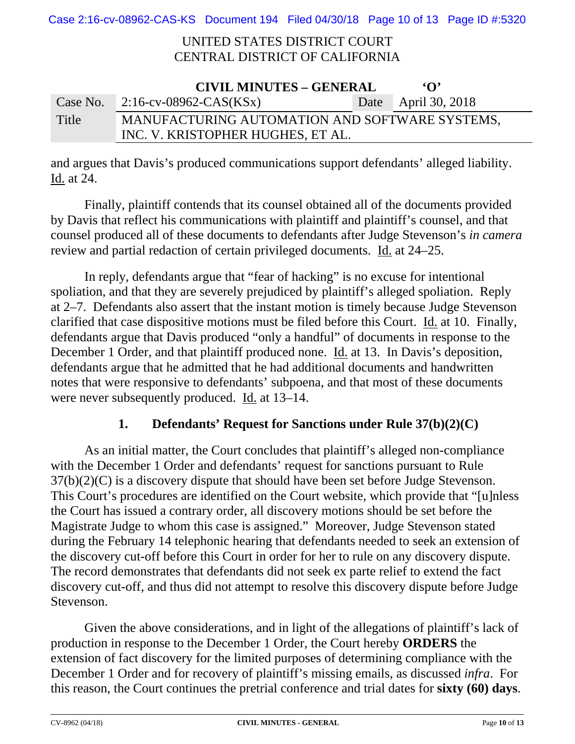Case 2:16-cv-08962-CAS-KS Document 194 Filed 04/30/18 Page 10 of 13 Page ID #:5320

### UNITED STATES DISTRICT COURT CENTRAL DISTRICT OF CALIFORNIA

| <b>CIVIL MINUTES – GENERAL</b><br>$\Omega$ |                                                |  |                     |  |
|--------------------------------------------|------------------------------------------------|--|---------------------|--|
| Case No.                                   | 2:16-cv-08962-CAS(KSx)                         |  | Date April 30, 2018 |  |
| Title                                      | MANUFACTURING AUTOMATION AND SOFTWARE SYSTEMS, |  |                     |  |
|                                            | INC. V. KRISTOPHER HUGHES, ET AL.              |  |                     |  |

and argues that Davis's produced communications support defendants' alleged liability. Id. at 24.

Finally, plaintiff contends that its counsel obtained all of the documents provided by Davis that reflect his communications with plaintiff and plaintiff's counsel, and that counsel produced all of these documents to defendants after Judge Stevenson's *in camera* review and partial redaction of certain privileged documents. Id. at 24–25.

In reply, defendants argue that "fear of hacking" is no excuse for intentional spoliation, and that they are severely prejudiced by plaintiff's alleged spoliation. Reply at 2–7. Defendants also assert that the instant motion is timely because Judge Stevenson clarified that case dispositive motions must be filed before this Court. Id. at 10. Finally, defendants argue that Davis produced "only a handful" of documents in response to the December 1 Order, and that plaintiff produced none. Id. at 13. In Davis's deposition, defendants argue that he admitted that he had additional documents and handwritten notes that were responsive to defendants' subpoena, and that most of these documents were never subsequently produced. Id. at 13–14.

## **1. Defendants' Request for Sanctions under Rule 37(b)(2)(C)**

As an initial matter, the Court concludes that plaintiff's alleged non-compliance with the December 1 Order and defendants' request for sanctions pursuant to Rule 37(b)(2)(C) is a discovery dispute that should have been set before Judge Stevenson. This Court's procedures are identified on the Court website, which provide that "[u]nless the Court has issued a contrary order, all discovery motions should be set before the Magistrate Judge to whom this case is assigned." Moreover, Judge Stevenson stated during the February 14 telephonic hearing that defendants needed to seek an extension of the discovery cut-off before this Court in order for her to rule on any discovery dispute. The record demonstrates that defendants did not seek ex parte relief to extend the fact discovery cut-off, and thus did not attempt to resolve this discovery dispute before Judge Stevenson.

Given the above considerations, and in light of the allegations of plaintiff's lack of production in response to the December 1 Order, the Court hereby **ORDERS** the extension of fact discovery for the limited purposes of determining compliance with the December 1 Order and for recovery of plaintiff's missing emails, as discussed *infra*. For this reason, the Court continues the pretrial conference and trial dates for **sixty (60) days**.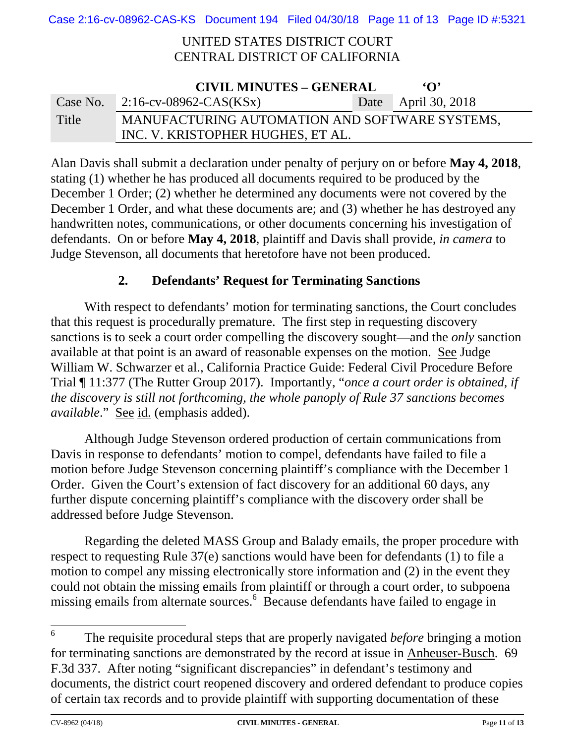Case 2:16-cv-08962-CAS-KS Document 194 Filed 04/30/18 Page 11 of 13 Page ID #:5321

## UNITED STATES DISTRICT COURT CENTRAL DISTRICT OF CALIFORNIA

| <b>CIVIL MINUTES – GENERAL</b><br>$\Omega$ |                                                |  |                     |  |
|--------------------------------------------|------------------------------------------------|--|---------------------|--|
|                                            | Case No. $2:16$ -cv-08962-CAS(KSx)             |  | Date April 30, 2018 |  |
| Title                                      | MANUFACTURING AUTOMATION AND SOFTWARE SYSTEMS, |  |                     |  |
|                                            | INC. V. KRISTOPHER HUGHES, ET AL.              |  |                     |  |

Alan Davis shall submit a declaration under penalty of perjury on or before **May 4, 2018**, stating (1) whether he has produced all documents required to be produced by the December 1 Order; (2) whether he determined any documents were not covered by the December 1 Order, and what these documents are; and (3) whether he has destroyed any handwritten notes, communications, or other documents concerning his investigation of defendants. On or before **May 4, 2018**, plaintiff and Davis shall provide, *in camera* to Judge Stevenson, all documents that heretofore have not been produced.

## **2. Defendants' Request for Terminating Sanctions**

With respect to defendants' motion for terminating sanctions, the Court concludes that this request is procedurally premature. The first step in requesting discovery sanctions is to seek a court order compelling the discovery sought—and the *only* sanction available at that point is an award of reasonable expenses on the motion. See Judge William W. Schwarzer et al., California Practice Guide: Federal Civil Procedure Before Trial ¶ 11:377 (The Rutter Group 2017). Importantly, "*once a court order is obtained, if the discovery is still not forthcoming, the whole panoply of Rule 37 sanctions becomes available*." See id. (emphasis added).

Although Judge Stevenson ordered production of certain communications from Davis in response to defendants' motion to compel, defendants have failed to file a motion before Judge Stevenson concerning plaintiff's compliance with the December 1 Order. Given the Court's extension of fact discovery for an additional 60 days, any further dispute concerning plaintiff's compliance with the discovery order shall be addressed before Judge Stevenson.

Regarding the deleted MASS Group and Balady emails, the proper procedure with respect to requesting Rule 37(e) sanctions would have been for defendants (1) to file a motion to compel any missing electronically store information and (2) in the event they could not obtain the missing emails from plaintiff or through a court order, to subpoena missing emails from alternate sources.<sup>6</sup> Because defendants have failed to engage in

<sup>6</sup> The requisite procedural steps that are properly navigated *before* bringing a motion for terminating sanctions are demonstrated by the record at issue in Anheuser-Busch. 69 F.3d 337. After noting "significant discrepancies" in defendant's testimony and documents, the district court reopened discovery and ordered defendant to produce copies of certain tax records and to provide plaintiff with supporting documentation of these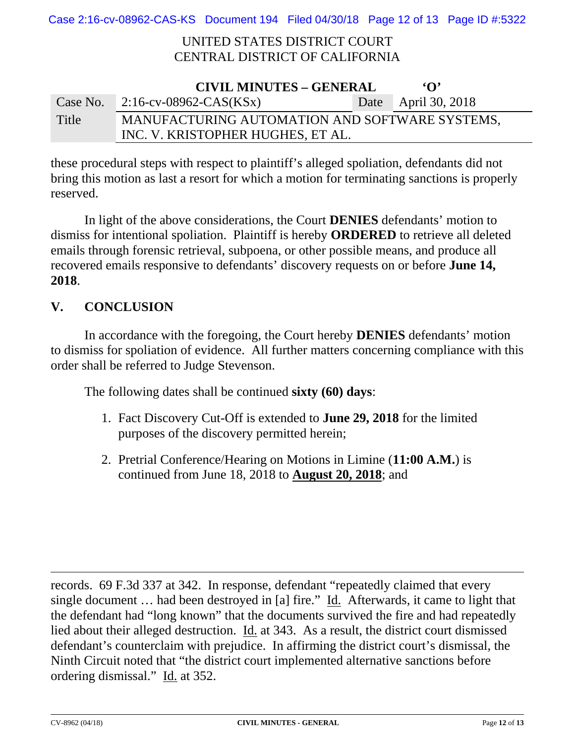Case 2:16-cv-08962-CAS-KS Document 194 Filed 04/30/18 Page 12 of 13 Page ID #:5322

### UNITED STATES DISTRICT COURT CENTRAL DISTRICT OF CALIFORNIA

| <b>CIVIL MINUTES – GENERAL</b><br>$\Omega$ |                                                |  |                     |  |
|--------------------------------------------|------------------------------------------------|--|---------------------|--|
|                                            | Case No. $2:16$ -cv-08962-CAS(KSx)             |  | Date April 30, 2018 |  |
| Title                                      | MANUFACTURING AUTOMATION AND SOFTWARE SYSTEMS, |  |                     |  |
|                                            | INC. V. KRISTOPHER HUGHES, ET AL.              |  |                     |  |

these procedural steps with respect to plaintiff's alleged spoliation, defendants did not bring this motion as last a resort for which a motion for terminating sanctions is properly reserved.

In light of the above considerations, the Court **DENIES** defendants' motion to dismiss for intentional spoliation. Plaintiff is hereby **ORDERED** to retrieve all deleted emails through forensic retrieval, subpoena, or other possible means, and produce all recovered emails responsive to defendants' discovery requests on or before **June 14, 2018**.

## **V. CONCLUSION**

In accordance with the foregoing, the Court hereby **DENIES** defendants' motion to dismiss for spoliation of evidence. All further matters concerning compliance with this order shall be referred to Judge Stevenson.

The following dates shall be continued **sixty (60) days**:

- 1. Fact Discovery Cut-Off is extended to **June 29, 2018** for the limited purposes of the discovery permitted herein;
- 2. Pretrial Conference/Hearing on Motions in Limine (**11:00 A.M.**) is continued from June 18, 2018 to **August 20, 2018**; and

records. 69 F.3d 337 at 342. In response, defendant "repeatedly claimed that every single document … had been destroyed in [a] fire." Id. Afterwards, it came to light that the defendant had "long known" that the documents survived the fire and had repeatedly lied about their alleged destruction. Id. at 343. As a result, the district court dismissed defendant's counterclaim with prejudice. In affirming the district court's dismissal, the Ninth Circuit noted that "the district court implemented alternative sanctions before ordering dismissal." Id. at 352.

<u> 1989 - Andrea Santa Andrea Andrea Andrea Andrea Andrea Andrea Andrea Andrea Andrea Andrea Andrea Andrea Andr</u>